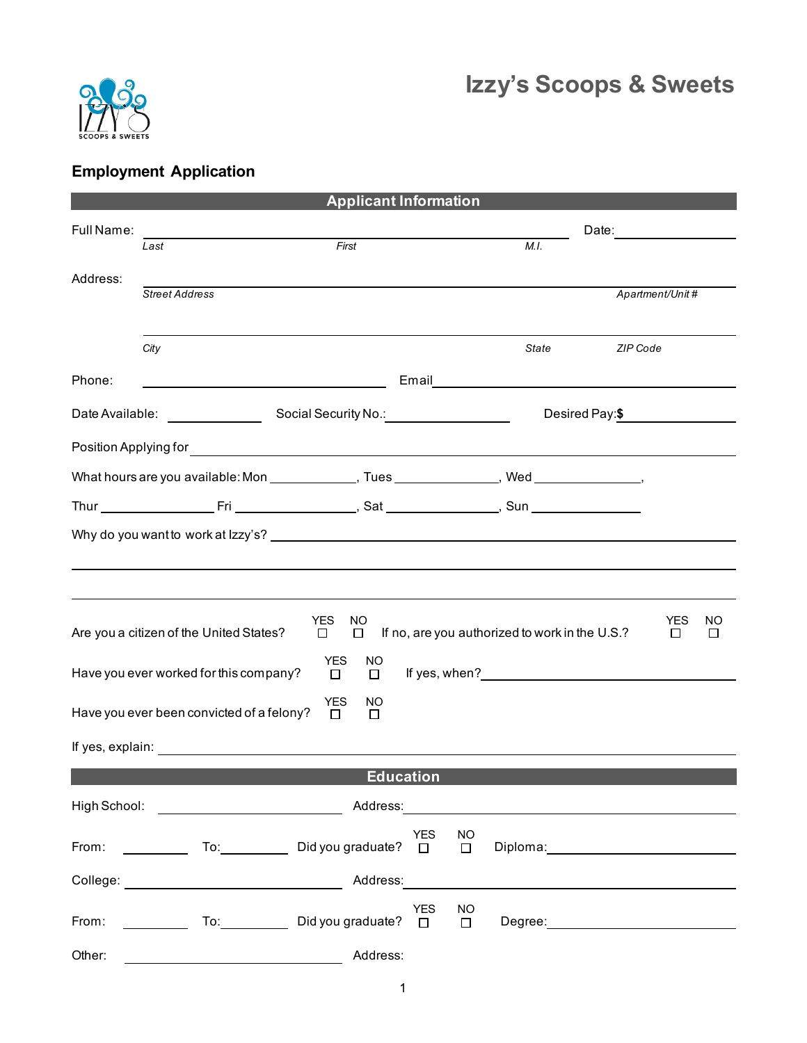

## **Employment Application**

| <b>Applicant Information</b>                                                                                          |                                                                                               |                                       |            |               |                                                                                                                                                                                                                                      |          |                 |              |
|-----------------------------------------------------------------------------------------------------------------------|-----------------------------------------------------------------------------------------------|---------------------------------------|------------|---------------|--------------------------------------------------------------------------------------------------------------------------------------------------------------------------------------------------------------------------------------|----------|-----------------|--------------|
| Full Name:                                                                                                            |                                                                                               |                                       |            |               | Date: _____________                                                                                                                                                                                                                  |          |                 |              |
|                                                                                                                       | Last                                                                                          | First                                 |            |               | M.I.                                                                                                                                                                                                                                 |          |                 |              |
| Address:                                                                                                              |                                                                                               |                                       |            |               |                                                                                                                                                                                                                                      |          |                 |              |
|                                                                                                                       | <b>Street Address</b>                                                                         |                                       |            |               |                                                                                                                                                                                                                                      |          | Apartment/Unit# |              |
|                                                                                                                       |                                                                                               |                                       |            |               |                                                                                                                                                                                                                                      |          |                 |              |
|                                                                                                                       | City                                                                                          |                                       |            |               | <b>State</b>                                                                                                                                                                                                                         | ZIP Code |                 |              |
| Phone:                                                                                                                | <u> 1989 - Johann Barn, amerikansk politiker (</u>                                            |                                       |            |               | Email <b>Executive Contract Contract Contract Contract Contract Contract Contract Contract Contract Contract Contract Contract Contract Contract Contract Contract Contract Contract Contract Contract Contract Contract Contrac</b> |          |                 |              |
|                                                                                                                       |                                                                                               |                                       |            |               | Desired Pay: \$                                                                                                                                                                                                                      |          |                 |              |
|                                                                                                                       |                                                                                               |                                       |            |               |                                                                                                                                                                                                                                      |          |                 |              |
|                                                                                                                       | What hours are you available: Mon _______________, Tues _______________, Wed _______________, |                                       |            |               |                                                                                                                                                                                                                                      |          |                 |              |
|                                                                                                                       |                                                                                               |                                       |            |               |                                                                                                                                                                                                                                      |          |                 |              |
|                                                                                                                       |                                                                                               |                                       |            |               |                                                                                                                                                                                                                                      |          |                 |              |
|                                                                                                                       |                                                                                               |                                       |            |               |                                                                                                                                                                                                                                      |          |                 |              |
|                                                                                                                       |                                                                                               |                                       |            |               |                                                                                                                                                                                                                                      |          |                 |              |
|                                                                                                                       |                                                                                               |                                       |            |               |                                                                                                                                                                                                                                      |          |                 |              |
|                                                                                                                       | Are you a citizen of the United States?                                                       | <b>YES</b><br>NO<br>$\Box$<br>$\Box$  |            |               | If no, are you authorized to work in the U.S.?                                                                                                                                                                                       |          | YES<br>□        | ΝO<br>$\Box$ |
|                                                                                                                       |                                                                                               | <b>YES</b><br>NO                      |            |               |                                                                                                                                                                                                                                      |          |                 |              |
|                                                                                                                       | Have you ever worked for this company?                                                        | $\Box$<br>$\Box$                      |            |               | If yes, when? The same state of the state of the state of the state of the state of the state of the state of the state of the state of the state of the state of the state of the state of the state of the state of the stat       |          |                 |              |
|                                                                                                                       | Have you ever been convicted of a felony?                                                     | <b>YES</b><br>NO.<br>$\Box$<br>$\Box$ |            |               |                                                                                                                                                                                                                                      |          |                 |              |
|                                                                                                                       |                                                                                               |                                       |            |               |                                                                                                                                                                                                                                      |          |                 |              |
|                                                                                                                       |                                                                                               |                                       |            |               |                                                                                                                                                                                                                                      |          |                 |              |
|                                                                                                                       |                                                                                               | <b>Education</b>                      |            |               |                                                                                                                                                                                                                                      |          |                 |              |
| High School:                                                                                                          | <u> The Communication of the Communication</u>                                                |                                       |            |               |                                                                                                                                                                                                                                      |          |                 |              |
|                                                                                                                       | From: $\qquad \qquad$ To: $\qquad \qquad$                                                     | Did you graduate? $\square$           | YES        | NO.<br>$\Box$ |                                                                                                                                                                                                                                      |          |                 |              |
|                                                                                                                       |                                                                                               | Address:                              |            |               |                                                                                                                                                                                                                                      |          |                 |              |
| From: $\frac{1}{\sqrt{1-\frac{1}{2}}\sqrt{1-\frac{1}{2}}\sqrt{1-\frac{1}{2}}\sqrt{1-\frac{1}{2}}\sqrt{1-\frac{1}{2}}$ |                                                                                               | Did you graduate? $\Box$              | <b>YES</b> | NO<br>$\Box$  |                                                                                                                                                                                                                                      |          |                 |              |
| Other:                                                                                                                |                                                                                               | Address:                              |            |               |                                                                                                                                                                                                                                      |          |                 |              |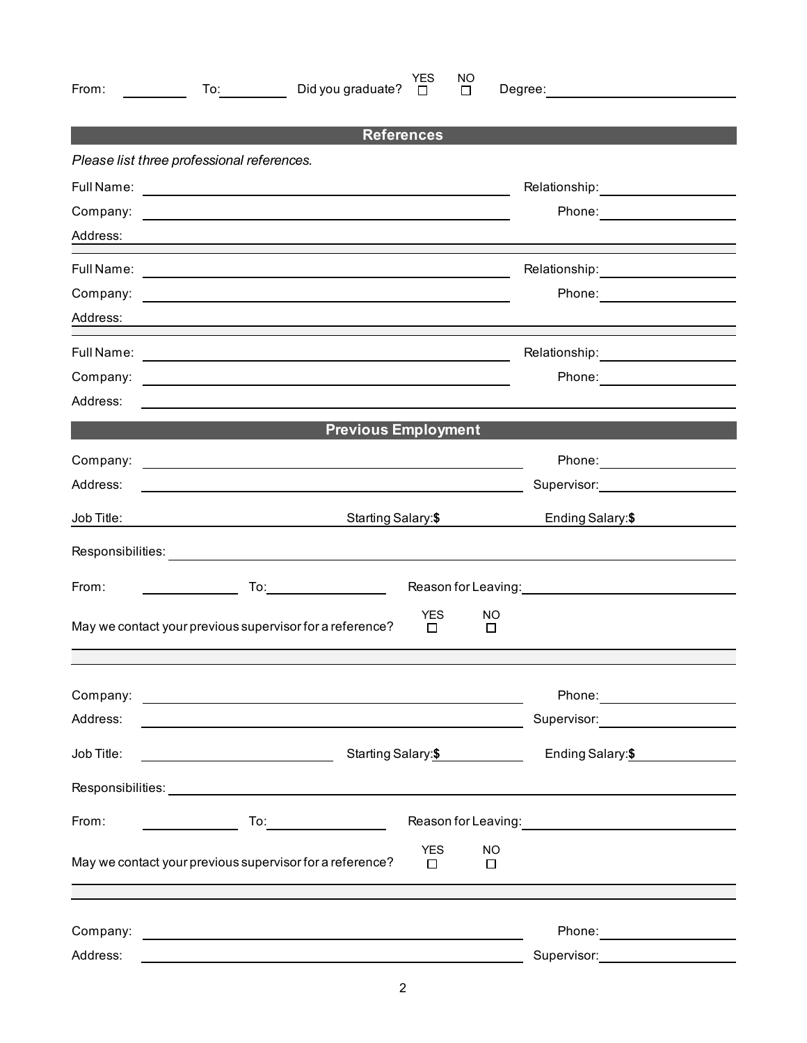| From:                                      | YES.<br>NO<br>Did you graduate?<br>To: the contract of the contract of the contract of the contract of the contract of the contract of the contract of the contract of the contract of the contract of the contract of the contract of the contract of the contra<br>□<br>$\Box$ | Degree: _______________________         |  |  |  |  |  |  |  |  |  |
|--------------------------------------------|----------------------------------------------------------------------------------------------------------------------------------------------------------------------------------------------------------------------------------------------------------------------------------|-----------------------------------------|--|--|--|--|--|--|--|--|--|
|                                            | <b>References</b>                                                                                                                                                                                                                                                                |                                         |  |  |  |  |  |  |  |  |  |
| Please list three professional references. |                                                                                                                                                                                                                                                                                  |                                         |  |  |  |  |  |  |  |  |  |
|                                            |                                                                                                                                                                                                                                                                                  | Relationship: Nelationship:             |  |  |  |  |  |  |  |  |  |
|                                            |                                                                                                                                                                                                                                                                                  | Phone: ____________________             |  |  |  |  |  |  |  |  |  |
| Address:                                   | <u> 1989 - Johann John Stein, markin sanadi a shekara 1980 - An an tsarani a shekara 1980 - An an tsara</u>                                                                                                                                                                      |                                         |  |  |  |  |  |  |  |  |  |
|                                            |                                                                                                                                                                                                                                                                                  | Relationship: ____________________      |  |  |  |  |  |  |  |  |  |
|                                            |                                                                                                                                                                                                                                                                                  | Phone: ____________________             |  |  |  |  |  |  |  |  |  |
| Address:                                   |                                                                                                                                                                                                                                                                                  |                                         |  |  |  |  |  |  |  |  |  |
|                                            |                                                                                                                                                                                                                                                                                  | Relationship: 2000                      |  |  |  |  |  |  |  |  |  |
| Company:                                   | <u> 1989 - John Stein, mars and de Britannich (b. 1989)</u>                                                                                                                                                                                                                      | Phone: ________________                 |  |  |  |  |  |  |  |  |  |
| Address:                                   |                                                                                                                                                                                                                                                                                  |                                         |  |  |  |  |  |  |  |  |  |
|                                            | <b>Previous Employment</b>                                                                                                                                                                                                                                                       |                                         |  |  |  |  |  |  |  |  |  |
|                                            |                                                                                                                                                                                                                                                                                  | Phone: ____________________             |  |  |  |  |  |  |  |  |  |
| Address:                                   | <u> 1989 - Johann Stoff, amerikansk politiker (d. 1989)</u>                                                                                                                                                                                                                      |                                         |  |  |  |  |  |  |  |  |  |
| Job Title:                                 | Starting Salary:\$                                                                                                                                                                                                                                                               | Ending Salary:\$                        |  |  |  |  |  |  |  |  |  |
|                                            |                                                                                                                                                                                                                                                                                  |                                         |  |  |  |  |  |  |  |  |  |
| From:                                      | $\begin{aligned} \mathcal{L}_{\text{max}}(\mathcal{L}_{\text{max}}) = \mathcal{L}_{\text{max}}(\mathcal{L}_{\text{max}}) \end{aligned}$                                                                                                                                          | Reason for Leaving: 1999                |  |  |  |  |  |  |  |  |  |
|                                            | YES.<br>NO.<br>May we contact your previous supervisor for a reference?<br>$\Box$<br>□                                                                                                                                                                                           |                                         |  |  |  |  |  |  |  |  |  |
|                                            |                                                                                                                                                                                                                                                                                  |                                         |  |  |  |  |  |  |  |  |  |
|                                            |                                                                                                                                                                                                                                                                                  | Phone: _____________________            |  |  |  |  |  |  |  |  |  |
| Address:                                   |                                                                                                                                                                                                                                                                                  | Supervisor: <u>____________________</u> |  |  |  |  |  |  |  |  |  |
| Job Title:                                 | Starting Salary:\$                                                                                                                                                                                                                                                               | Ending Salary: \$                       |  |  |  |  |  |  |  |  |  |
|                                            |                                                                                                                                                                                                                                                                                  |                                         |  |  |  |  |  |  |  |  |  |
| From:                                      | To:                                                                                                                                                                                                                                                                              | Reason for Leaving: 1990 1991 1992 1994 |  |  |  |  |  |  |  |  |  |
|                                            | <b>YES</b><br><b>NO</b><br>May we contact your previous supervisor for a reference?<br>$\Box$<br>□                                                                                                                                                                               |                                         |  |  |  |  |  |  |  |  |  |
|                                            |                                                                                                                                                                                                                                                                                  |                                         |  |  |  |  |  |  |  |  |  |
| Company:                                   | <u> 1989 - Johann Barn, amerikansk politiker (d. 1989)</u>                                                                                                                                                                                                                       | Phone: ______________________           |  |  |  |  |  |  |  |  |  |
| Address:                                   |                                                                                                                                                                                                                                                                                  | Supervisor: _____________________       |  |  |  |  |  |  |  |  |  |